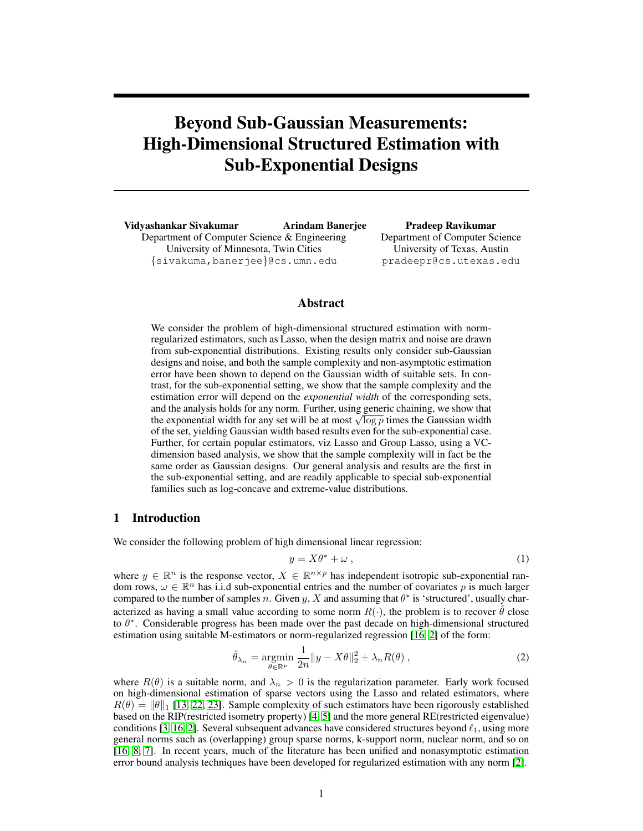# Beyond Sub-Gaussian Measurements: High-Dimensional Structured Estimation with Sub-Exponential Designs

Vidyashankar Sivakumar Arindam Banerjee Department of Computer Science & Engineering University of Minnesota, Twin Cities {sivakuma,banerjee}@cs.umn.edu

Pradeep Ravikumar Department of Computer Science University of Texas, Austin pradeepr@cs.utexas.edu

## Abstract

We consider the problem of high-dimensional structured estimation with normregularized estimators, such as Lasso, when the design matrix and noise are drawn from sub-exponential distributions. Existing results only consider sub-Gaussian designs and noise, and both the sample complexity and non-asymptotic estimation error have been shown to depend on the Gaussian width of suitable sets. In contrast, for the sub-exponential setting, we show that the sample complexity and the estimation error will depend on the *exponential width* of the corresponding sets, and the analysis holds for any norm. Further, using generic chaining, we show that and the analysis holds for any norm. Further, using generic chaining, we show that<br>the exponential width for any set will be at most  $\sqrt{\log p}$  times the Gaussian width of the set, yielding Gaussian width based results even for the sub-exponential case. Further, for certain popular estimators, viz Lasso and Group Lasso, using a VCdimension based analysis, we show that the sample complexity will in fact be the same order as Gaussian designs. Our general analysis and results are the first in the sub-exponential setting, and are readily applicable to special sub-exponential families such as log-concave and extreme-value distributions.

## 1 Introduction

We consider the following problem of high dimensional linear regression:

$$
y = X\theta^* + \omega \,,\tag{1}
$$

where  $y \in \mathbb{R}^n$  is the response vector,  $X \in \mathbb{R}^{n \times p}$  has independent isotropic sub-exponential random rows,  $\omega \in \mathbb{R}^n$  has i.i.d sub-exponential entries and the number of covariates p is much larger compared to the number of samples n. Given y, X and assuming that  $\theta^*$  is 'structured', usually characterized as having a small value according to some norm  $R(\cdot)$ , the problem is to recover  $\theta$  close to  $\theta^*$ . Considerable progress has been made over the past decade on high-dimensional structured estimation using suitable M-estimators or norm-regularized regression [16, 2] of the form:

$$
\hat{\theta}_{\lambda_n} = \underset{\theta \in \mathbb{R}^p}{\text{argmin}} \frac{1}{2n} \|y - X\theta\|_2^2 + \lambda_n R(\theta) ,
$$
\n(2)

where  $R(\theta)$  is a suitable norm, and  $\lambda_n > 0$  is the regularization parameter. Early work focused on high-dimensional estimation of sparse vectors using the Lasso and related estimators, where  $R(\theta) = ||\theta||_1$  [13, 22, 23]. Sample complexity of such estimators have been rigorously established based on the RIP(restricted isometry property) [4, 5] and the more general RE(restricted eigenvalue) conditions [3, 16, 2]. Several subsequent advances have considered structures beyond  $\ell_1$ , using more general norms such as (overlapping) group sparse norms, k-support norm, nuclear norm, and so on [16, 8, 7]. In recent years, much of the literature has been unified and nonasymptotic estimation error bound analysis techniques have been developed for regularized estimation with any norm [2].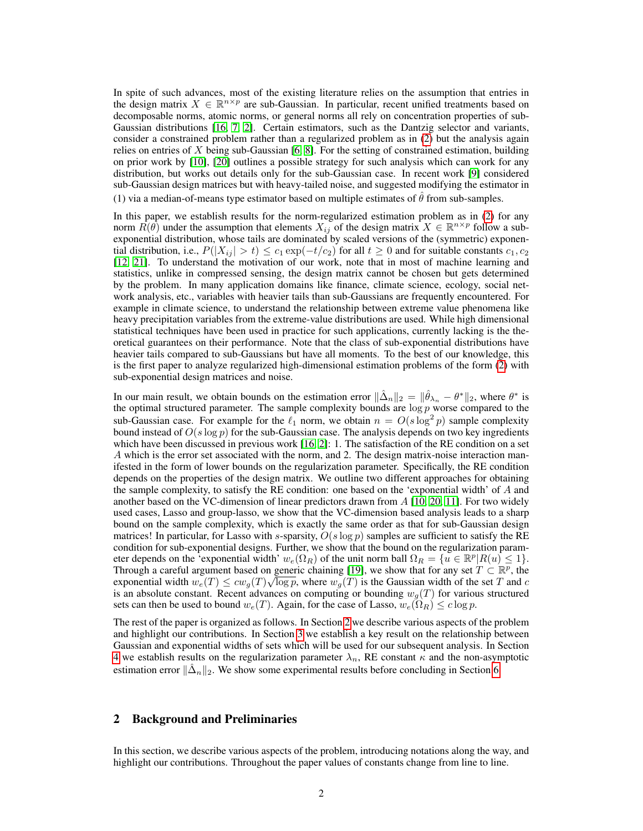In spite of such advances, most of the existing literature relies on the assumption that entries in the design matrix  $X \in \mathbb{R}^{n \times p}$  are sub-Gaussian. In particular, recent unified treatments based on decomposable norms, atomic norms, or general norms all rely on concentration properties of sub-Gaussian distributions [16, 7, 2]. Certain estimators, such as the Dantzig selector and variants, consider a constrained problem rather than a regularized problem as in (2) but the analysis again relies on entries of X being sub-Gaussian [6, 8]. For the setting of constrained estimation, building on prior work by [10], [20] outlines a possible strategy for such analysis which can work for any distribution, but works out details only for the sub-Gaussian case. In recent work [9] considered sub-Gaussian design matrices but with heavy-tailed noise, and suggested modifying the estimator in (1) via a median-of-means type estimator based on multiple estimates of  $\hat{\theta}$  from sub-samples.

In this paper, we establish results for the norm-regularized estimation problem as in (2) for any norm  $R(\theta)$  under the assumption that elements  $X_{ij}$  of the design matrix  $X \in \mathbb{R}^{n \times p}$  follow a subexponential distribution, whose tails are dominated by scaled versions of the (symmetric) exponential distribution, i.e.,  $P(|X_{ij}| > t) \leq c_1 \exp(-t/c_2)$  for all  $t \geq 0$  and for suitable constants  $c_1, c_2$ [12, 21]. To understand the motivation of our work, note that in most of machine learning and statistics, unlike in compressed sensing, the design matrix cannot be chosen but gets determined by the problem. In many application domains like finance, climate science, ecology, social network analysis, etc., variables with heavier tails than sub-Gaussians are frequently encountered. For example in climate science, to understand the relationship between extreme value phenomena like heavy precipitation variables from the extreme-value distributions are used. While high dimensional statistical techniques have been used in practice for such applications, currently lacking is the theoretical guarantees on their performance. Note that the class of sub-exponential distributions have heavier tails compared to sub-Gaussians but have all moments. To the best of our knowledge, this is the first paper to analyze regularized high-dimensional estimation problems of the form (2) with sub-exponential design matrices and noise.

In our main result, we obtain bounds on the estimation error  $\|\hat{\Delta}_n\|_2 = \|\hat{\theta}_{\lambda_n} - \theta^*\|_2$ , where  $\theta^*$  is the optimal structured parameter. The sample complexity bounds are  $\log p$  worse compared to the sub-Gaussian case. For example for the  $\ell_1$  norm, we obtain  $n = O(s \log^2 p)$  sample complexity bound instead of  $O(s \log p)$  for the sub-Gaussian case. The analysis depends on two key ingredients which have been discussed in previous work [16, 2]: 1. The satisfaction of the RE condition on a set A which is the error set associated with the norm, and 2. The design matrix-noise interaction manifested in the form of lower bounds on the regularization parameter. Specifically, the RE condition depends on the properties of the design matrix. We outline two different approaches for obtaining the sample complexity, to satisfy the RE condition: one based on the 'exponential width' of A and another based on the VC-dimension of linear predictors drawn from  $A$  [10, 20, 11]. For two widely used cases, Lasso and group-lasso, we show that the VC-dimension based analysis leads to a sharp bound on the sample complexity, which is exactly the same order as that for sub-Gaussian design matrices! In particular, for Lasso with s-sparsity,  $O(s \log p)$  samples are sufficient to satisfy the RE condition for sub-exponential designs. Further, we show that the bound on the regularization parameter depends on the 'exponential width'  $w_e(\Omega_R)$  of the unit norm ball  $\Omega_R = \{u \in \mathbb{R}^p | R(u) \leq 1\}$ . Through a careful argument based on generic chaining [19], we show that for any set  $T \subset \mathbb{R}^p$ , the exponential width  $w_e(T) \leq cw_g(T) \sqrt{\log p}$ , where  $w_g(T)$  is the Gaussian width of the set T and c is an absolute constant. Recent advances on computing or bounding  $w_g(T)$  for various structured sets can then be used to bound  $w_e(T)$ . Again, for the case of Lasso,  $w_e(\Omega_R) \leq c \log p$ .

The rest of the paper is organized as follows. In Section 2 we describe various aspects of the problem and highlight our contributions. In Section 3 we establish a key result on the relationship between Gaussian and exponential widths of sets which will be used for our subsequent analysis. In Section 4 we establish results on the regularization parameter  $\lambda_n$ , RE constant  $\kappa$  and the non-asymptotic estimation error  $\|\hat{\Delta}_n\|_2$ . We show some experimental results before concluding in Section 6.

#### 2 Background and Preliminaries

In this section, we describe various aspects of the problem, introducing notations along the way, and highlight our contributions. Throughout the paper values of constants change from line to line.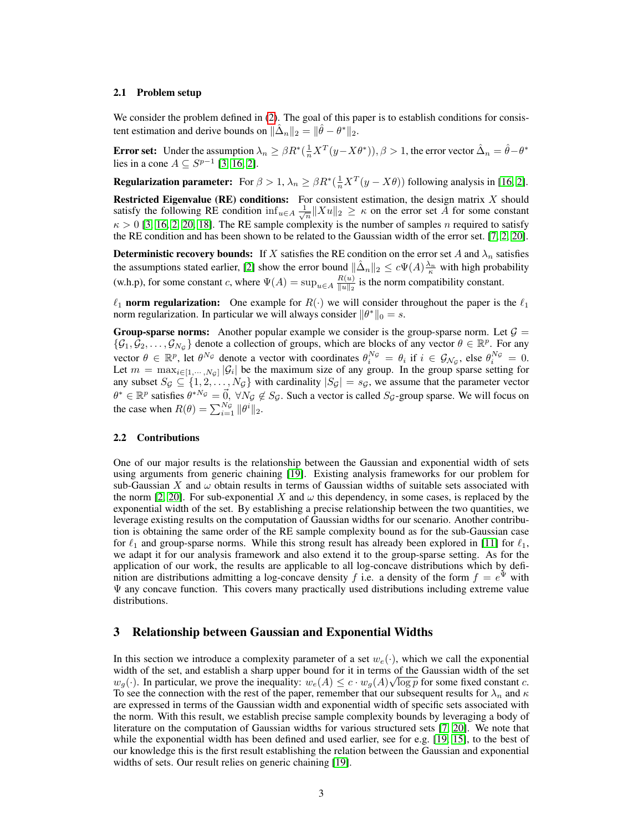### 2.1 Problem setup

We consider the problem defined in (2). The goal of this paper is to establish conditions for consistent estimation and derive bounds on  $\|\hat{\Delta}_n\|_2 = \|\hat{\theta} - \theta^*\|_2$ .

**Error set:** Under the assumption  $\lambda_n \geq \beta R^*(\frac{1}{n}X^T(y - X\theta^*)), \beta > 1$ , the error vector  $\hat{\Delta}_n = \hat{\theta} - \theta^*$ lies in a cone  $A \subseteq S^{p-1}$  [3, 16, 2].

**Regularization parameter:** For  $\beta > 1$ ,  $\lambda_n \geq \beta R^*(\frac{1}{n}X^T(y - X\theta))$  following analysis in [16, 2].

**Restricted Eigenvalue (RE) conditions:** For consistent estimation, the design matrix  $X$  should satisfy the following RE condition  $\inf_{u \in A} \frac{1}{\sqrt{n}} ||Xu||_2 \ge \kappa$  on the error set A for some constant  $\kappa > 0$  [3, 16, 2, 20, 18]. The RE sample complexity is the number of samples n required to satisfy the RE condition and has been shown to be related to the Gaussian width of the error set. [7, 2, 20].

**Deterministic recovery bounds:** If X satisfies the RE condition on the error set A and  $\lambda_n$  satisfies the assumptions stated earlier, [2] show the error bound  $\|\hat{\Delta}_n\|_2 \leq c\Psi(A)\frac{\lambda_n}{\kappa}$  with high probability (w.h.p), for some constant c, where  $\Psi(A) = \sup_{u \in A} \frac{R(u)}{\|u\|_2}$  $\frac{R(u)}{\|u\|_2}$  is the norm compatibility constant.

 $\ell_1$  norm regularization: One example for  $R(\cdot)$  we will consider throughout the paper is the  $\ell_1$ norm regularization. In particular we will always consider  $\|\theta^*\|_0 = s$ .

**Group-sparse norms:** Another popular example we consider is the group-sparse norm. Let  $\mathcal{G} =$  $\{\mathcal{G}_1,\mathcal{G}_2,\ldots,\mathcal{G}_{N_\mathcal{G}}\}$  denote a collection of groups, which are blocks of any vector  $\theta \in \mathbb{R}^p$ . For any vector  $\theta \in \mathbb{R}^p$ , let  $\theta^{N_g}$  denote a vector with coordinates  $\theta_i^{N_g} = \theta_i$  if  $i \in \mathcal{G}_{N_g}$ , else  $\theta_i^{N_g} = 0$ . Let  $m = \max_{i \in [1, \dots, N_{\mathcal{G}}]} |\mathcal{G}_i|$  be the maximum size of any group. In the group sparse setting for any subset  $S_{\mathcal{G}} \subseteq \{1, 2, ..., N_{\mathcal{G}}\}$  with cardinality  $|S_{\mathcal{G}}| = s_{\mathcal{G}}$ , we assume that the parameter vector  $\theta^* \in \mathbb{R}^p$  satisfies  $\theta^{*N_G} = \vec{0}$ ,  $\forall N_G \notin S_G$ . Such a vector is called  $S_G$ -group sparse. We will focus on the case when  $R(\theta) = \sum_{i=1}^{N_G} ||\theta^i||_2$ .

## 2.2 Contributions

One of our major results is the relationship between the Gaussian and exponential width of sets using arguments from generic chaining [19]. Existing analysis frameworks for our problem for sub-Gaussian X and  $\omega$  obtain results in terms of Gaussian widths of suitable sets associated with the norm [2, 20]. For sub-exponential X and  $\omega$  this dependency, in some cases, is replaced by the exponential width of the set. By establishing a precise relationship between the two quantities, we leverage existing results on the computation of Gaussian widths for our scenario. Another contribution is obtaining the same order of the RE sample complexity bound as for the sub-Gaussian case for  $\ell_1$  and group-sparse norms. While this strong result has already been explored in [11] for  $\ell_1$ , we adapt it for our analysis framework and also extend it to the group-sparse setting. As for the application of our work, the results are applicable to all log-concave distributions which by definition are distributions admitting a log-concave density f i.e. a density of the form  $f = e^{\Psi}$  with  $\Psi$  any concave function. This covers many practically used distributions including extreme value distributions.

## 3 Relationship between Gaussian and Exponential Widths

In this section we introduce a complexity parameter of a set  $w_e(\cdot)$ , which we call the exponential width of the set, and establish a sharp upper bound for it in terms of the Gaussian width of the set  $w_g(\cdot)$ . In particular, we prove the inequality:  $w_e(A) \leq c \cdot w_g(A) \sqrt{\log p}$  for some fixed constant c. To see the connection with the rest of the paper, remember that our subsequent results for  $\lambda_n$  and  $\kappa$ are expressed in terms of the Gaussian width and exponential width of specific sets associated with the norm. With this result, we establish precise sample complexity bounds by leveraging a body of literature on the computation of Gaussian widths for various structured sets [7, 20]. We note that while the exponential width has been defined and used earlier, see for e.g. [19, 15], to the best of our knowledge this is the first result establishing the relation between the Gaussian and exponential widths of sets. Our result relies on generic chaining [19].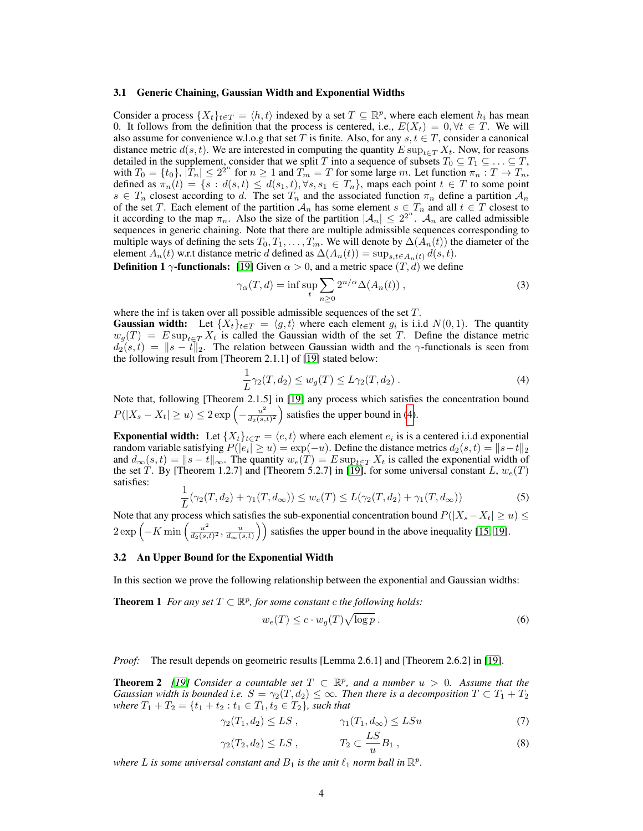#### 3.1 Generic Chaining, Gaussian Width and Exponential Widths

Consider a process  $\{X_t\}_{t\in\mathcal{I}} = \langle h, t \rangle$  indexed by a set  $\mathcal{I} \subseteq \mathbb{R}^p$ , where each element  $h_i$  has mean 0. It follows from the definition that the process is centered, i.e.,  $E(X_t) = 0, \forall t \in T$ . We will also assume for convenience w.l.o.g that set T is finite. Also, for any  $s, t \in T$ , consider a canonical distance metric  $d(s, t)$ . We are interested in computing the quantity  $E \sup_{t \in T} X_t$ . Now, for reasons detailed in the supplement, consider that we split T into a sequence of subsets  $T_0 \subseteq T_1 \subseteq \ldots \subseteq T$ , with  $T_0 = \{t_0\}$ ,  $|T_n| \leq 2^{2^n}$  for  $n \geq 1$  and  $T_m = T$  for some large m. Let function  $\pi_n : T \to T_n$ , defined as  $\pi_n(t) = \{s : d(s,t) \leq d(s_1,t), \forall s, s_1 \in T_n\}$ , maps each point  $t \in T$  to some point  $s \in T_n$  closest according to d. The set  $T_n$  and the associated function  $\pi_n$  define a partition  $\mathcal{A}_n$ of the set T. Each element of the partition  $A_n$  has some element  $s \in T_n$  and all  $t \in T$  closest to it according to the map  $\pi_n$ . Also the size of the partition  $|\mathcal{A}_n| \leq 2^{2^n}$ .  $\mathcal{A}_n$  are called admissible sequences in generic chaining. Note that there are multiple admissible sequences corresponding to multiple ways of defining the sets  $T_0, T_1, \ldots, T_m$ . We will denote by  $\Delta(\hat{A}_n(t))$  the diameter of the element  $A_n(t)$  w.r.t distance metric d defined as  $\Delta(A_n(t)) = \sup_{s,t \in A_n(t)} d(s,t)$ .

**Definition 1**  $\gamma$ -functionals: [19] Given  $\alpha > 0$ , and a metric space  $(T, d)$  we define

$$
\gamma_{\alpha}(T, d) = \inf \sup_{t} \sum_{n \ge 0} 2^{n/\alpha} \Delta(A_n(t)), \qquad (3)
$$

where the inf is taken over all possible admissible sequences of the set  $T$ .

**Gaussian width:** Let  $\{X_t\}_{t \in T} = \langle g, t \rangle$  where each element  $g_i$  is i.i.d  $N(0, 1)$ . The quantity  $w_g(T) = E \sup_{t \in T} X_t$  is called the Gaussian width of the set T. Define the distance metric  $d_2(s,t) = \|s - t\|_2$ . The relation between Gaussian width and the  $\gamma$ -functionals is seen from the following result from [Theorem 2.1.1] of [19] stated below:

$$
\frac{1}{L}\gamma_2(T, d_2) \le w_g(T) \le L\gamma_2(T, d_2).
$$
\n(4)

Note that, following [Theorem 2.1.5] in [19] any process which satisfies the concentration bound  $P(|X_s - X_t| \geq u) \leq 2 \exp\left(-\frac{u^2}{ds} \right)$  $\frac{u^2}{d_2(s,t)^2}$  satisfies the upper bound in (4).

**Exponential width:** Let  $\{X_t\}_{t \in T} = \langle e, t \rangle$  where each element  $e_i$  is is a centered i.i.d exponential random variable satisfying  $P(|e_i| \ge u) = \exp(-u)$ . Define the distance metrics  $d_2(s,t) = ||s-t||_2$ and  $d_{\infty}(s, t) = ||s - t||_{\infty}$ . The quantity  $w_e(T) = E \sup_{t \in T} X_t$  is called the exponential width of the set T. By [Theorem 1.2.7] and [Theorem 5.2.7] in [19], for some universal constant L,  $w_e(T)$ satisfies:

$$
\frac{1}{L}(\gamma_2(T, d_2) + \gamma_1(T, d_\infty)) \le w_e(T) \le L(\gamma_2(T, d_2) + \gamma_1(T, d_\infty))
$$
\n(5)

Note that any process which satisfies the sub-exponential concentration bound  $P(|X_s - X_t| \ge u) \le$  $2 \exp \left(-K \min \left(\frac{u^2}{d_2(s)}\right)\right)$  $\frac{u^2}{d_2(s,t)^2}$ ,  $\frac{u}{d_{\infty}(s,t)}$ ) satisfies the upper bound in the above inequality [15, 19].

#### 3.2 An Upper Bound for the Exponential Width

In this section we prove the following relationship between the exponential and Gaussian widths:

**Theorem 1** For any set  $T \subset \mathbb{R}^p$ , for some constant c the following holds:

$$
w_e(T) \le c \cdot w_g(T) \sqrt{\log p} \,. \tag{6}
$$

*Proof:* The result depends on geometric results [Lemma 2.6.1] and [Theorem 2.6.2] in [19].

**Theorem 2** [19] Consider a countable set  $T \subset \mathbb{R}^p$ , and a number  $u > 0$ . Assume that the *Gaussian width is bounded i.e.*  $S = \gamma_2(T, d_2) \leq \infty$ . Then there is a decomposition  $T \subset T_1 + T_2$ *where*  $T_1 + T_2 = \{t_1 + t_2 : t_1 \in T_1, t_2 \in T_2\}$ *, such that* 

$$
\gamma_2(T_1, d_2) \le LS \,, \qquad \gamma_1(T_1, d_\infty) \le LS u \tag{7}
$$

$$
\gamma_2(T_2, d_2) \le LS \,, \qquad T_2 \subset \frac{LS}{u} B_1 \,, \tag{8}
$$

where L is some universal constant and  $B_1$  is the unit  $\ell_1$  norm ball in  $\mathbb{R}^p$ .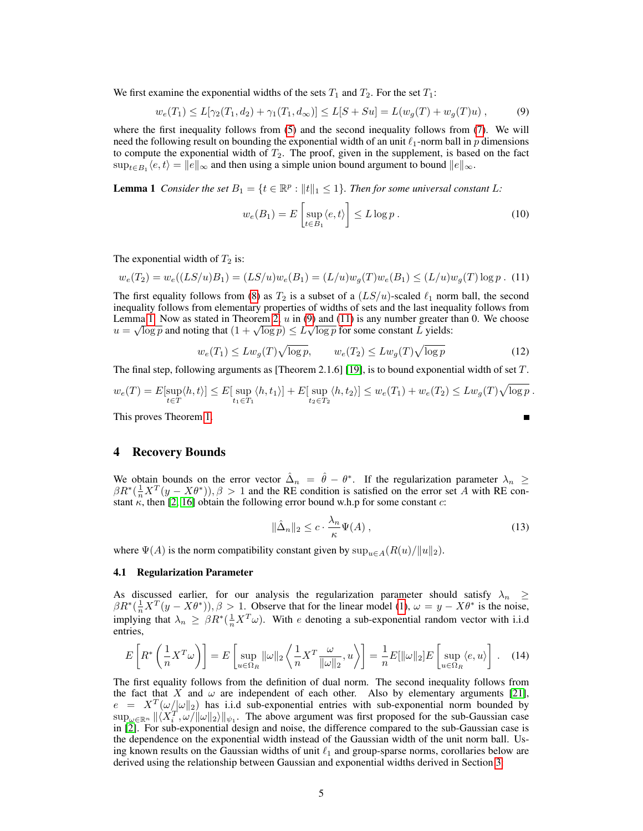We first examine the exponential widths of the sets  $T_1$  and  $T_2$ . For the set  $T_1$ :

$$
w_e(T_1) \le L[\gamma_2(T_1, d_2) + \gamma_1(T_1, d_\infty)] \le L[S + Su] = L(w_g(T) + w_g(T)u), \tag{9}
$$

where the first inequality follows from (5) and the second inequality follows from (7). We will need the following result on bounding the exponential width of an unit  $\ell_1$ -norm ball in p dimensions to compute the exponential width of  $T_2$ . The proof, given in the supplement, is based on the fact  $\sup_{t\in B_1}\langle e,t\rangle = ||e||_{\infty}$  and then using a simple union bound argument to bound  $||e||_{\infty}$ .

**Lemma 1** *Consider the set*  $B_1 = \{t \in \mathbb{R}^p : ||t||_1 \leq 1\}$ *. Then for some universal constant* L:

$$
w_e(B_1) = E\left[\sup_{t \in B_1} \langle e, t \rangle\right] \le L \log p. \tag{10}
$$

The exponential width of  $T_2$  is:

$$
w_e(T_2) = w_e((LS/u)B_1) = (LS/u)w_e(B_1) = (L/u)w_g(T)w_e(B_1) \le (L/u)w_g(T)\log p
$$
 (11)

The first equality follows from (8) as  $T_2$  is a subset of a  $(LS/u)$ -scaled  $\ell_1$  norm ball, the second inequality follows from elementary properties of widths of sets and the last inequality follows from Lemma 1. Now as stated in Theorem 2, u in (9) and (11) is any number greater than 0. We choose Lemma 1. Now as stated in Theorem 2, u in (9) and (11) is any number greater to  $u = \sqrt{\log p}$  and noting that  $(1 + \sqrt{\log p}) \le L\sqrt{\log p}$  for some constant L yields:

$$
w_e(T_1) \le L w_g(T) \sqrt{\log p}, \qquad w_e(T_2) \le L w_g(T) \sqrt{\log p} \tag{12}
$$

The final step, following arguments as [Theorem 2.1.6] [19], is to bound exponential width of set  $T$ .

$$
w_e(T) = E[\sup_{t \in T} \langle h, t \rangle] \le E[\sup_{t_1 \in T_1} \langle h, t_1 \rangle] + E[\sup_{t_2 \in T_2} \langle h, t_2 \rangle] \le w_e(T_1) + w_e(T_2) \le L w_g(T) \sqrt{\log p}.
$$

This proves Theorem 1.

## 4 Recovery Bounds

We obtain bounds on the error vector  $\hat{\Delta}_n = \hat{\theta} - \theta^*$ . If the regularization parameter  $\lambda_n \geq$  $\beta R^*(\frac{1}{n}X^T(y - X\theta^*)), \beta > 1$  and the RE condition is satisfied on the error set A with RE constant  $\kappa$ , then [2, 16] obtain the following error bound w.h.p for some constant c:

$$
\|\hat{\Delta}_n\|_2 \le c \cdot \frac{\lambda_n}{\kappa} \Psi(A) \,,\tag{13}
$$

where  $\Psi(A)$  is the norm compatibility constant given by  $\sup_{u \in A} (R(u)/\|u\|_2)$ .

#### 4.1 Regularization Parameter

As discussed earlier, for our analysis the regularization parameter should satisfy  $\lambda_n \geq$  $\beta R^*(\frac{1}{n}X^T(y - X\theta^*)), \beta > 1$ . Observe that for the linear model (1),  $\omega = y - X\theta^*$  is the noise, implying that  $\lambda_n \geq \beta R^*(\frac{1}{n}X^T\omega)$ . With e denoting a sub-exponential random vector with i.i.d entries,

$$
E\left[R^*\left(\frac{1}{n}X^T\omega\right)\right] = E\left[\sup_{u \in \Omega_R} ||\omega||_2 \left\langle \frac{1}{n}X^T \frac{\omega}{||\omega||_2}, u \right\rangle\right] = \frac{1}{n}E[||\omega||_2]E\left[\sup_{u \in \Omega_R} \langle e, u \rangle\right].
$$
 (14)

The first equality follows from the definition of dual norm. The second inequality follows from the fact that X and  $\omega$  are independent of each other. Also by elementary arguments [21],  $e = X^T(\omega/\omega \|_2)$  has i.i.d sub-exponential entries with sub-exponential norm bounded by  $\sup_{\omega \in \mathbb{R}^n} \| \langle X_i^T, \omega \rangle \| \omega \|_2 \rangle \|_{\psi_1}$ . The above argument was first proposed for the sub-Gaussian case in [2]. For sub-exponential design and noise, the difference compared to the sub-Gaussian case is the dependence on the exponential width instead of the Gaussian width of the unit norm ball. Using known results on the Gaussian widths of unit  $\ell_1$  and group-sparse norms, corollaries below are derived using the relationship between Gaussian and exponential widths derived in Section 3: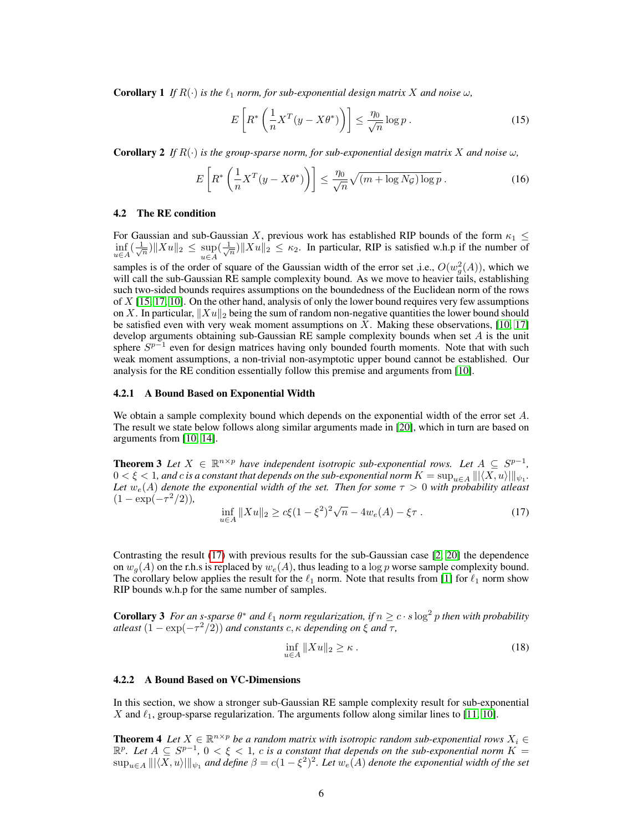**Corollary 1** If  $R(\cdot)$  is the  $\ell_1$  norm, for sub-exponential design matrix X and noise  $\omega$ ,

$$
E\left[R^*\left(\frac{1}{n}X^T(y - X\theta^*)\right)\right] \le \frac{\eta_0}{\sqrt{n}}\log p\,. \tag{15}
$$

**Corollary 2** If  $R(\cdot)$  is the group-sparse norm, for sub-exponential design matrix X and noise  $\omega$ ,

$$
E\left[R^*\left(\frac{1}{n}X^T(y - X\theta^*)\right)\right] \le \frac{\eta_0}{\sqrt{n}}\sqrt{(m + \log N_{\mathcal{G}})\log p} \,. \tag{16}
$$

#### 4.2 The RE condition

For Gaussian and sub-Gaussian X, previous work has established RIP bounds of the form  $\kappa_1 \leq$  $\inf_{u \in A} (\frac{1}{\sqrt{n}}) \|Xu\|_2 \leq \sup_{u \in A} (\frac{1}{\sqrt{n}}) \|Xu\|_2 \leq \kappa_2$ . In particular, RIP is satisfied w.h.p if the number of

samples is of the order of square of the Gaussian width of the error set ,i.e.,  $O(w_g^2(A))$ , which we will call the sub-Gaussian RE sample complexity bound. As we move to heavier tails, establishing such two-sided bounds requires assumptions on the boundedness of the Euclidean norm of the rows of  $X$  [15, 17, 10]. On the other hand, analysis of only the lower bound requires very few assumptions on X. In particular,  $||Xu||_2$  being the sum of random non-negative quantities the lower bound should be satisfied even with very weak moment assumptions on  $X$ . Making these observations, [10, 17] develop arguments obtaining sub-Gaussian RE sample complexity bounds when set A is the unit sphere  $S^{p-1}$  even for design matrices having only bounded fourth moments. Note that with such weak moment assumptions, a non-trivial non-asymptotic upper bound cannot be established. Our analysis for the RE condition essentially follow this premise and arguments from [10].

#### 4.2.1 A Bound Based on Exponential Width

We obtain a sample complexity bound which depends on the exponential width of the error set A. The result we state below follows along similar arguments made in [20], which in turn are based on arguments from [10, 14].

**Theorem 3** Let  $X \in \mathbb{R}^{n \times p}$  have independent isotropic sub-exponential rows. Let  $A \subseteq S^{p-1}$ ,  $0<\xi< 1$ , and  $c$  is a constant that depends on the sub-exponential norm  $K=\sup_{u\in A}\||\langle X, u\rangle|\|_{\psi_1}.$ *Let*  $w_e(A)$  *denote the exponential width of the set. Then for some*  $\tau > 0$  *with probability atleast*  $(1 - \exp(-\tau^2/2)),$ 

$$
\inf_{u \in A} \|Xu\|_2 \ge c\xi (1 - \xi^2)^2 \sqrt{n} - 4w_e(A) - \xi\tau. \tag{17}
$$

Contrasting the result (17) with previous results for the sub-Gaussian case [2, 20] the dependence on  $w_q(A)$  on the r.h.s is replaced by  $w_e(A)$ , thus leading to a log p worse sample complexity bound. The corollary below applies the result for the  $\ell_1$  norm. Note that results from [1] for  $\ell_1$  norm show RIP bounds w.h.p for the same number of samples.

**Corollary 3** For an s-sparse  $\theta^*$  and  $\ell_1$  norm regularization, if  $n \geq c \cdot s \log^2 p$  then with probability *atleast*  $(1 - \exp(-\tau^2/2))$  *and constants c*,  $\kappa$  *depending on*  $\xi$  *and*  $\tau$ ,

$$
\inf_{u \in A} \|Xu\|_2 \ge \kappa \,. \tag{18}
$$

#### 4.2.2 A Bound Based on VC-Dimensions

In this section, we show a stronger sub-Gaussian RE sample complexity result for sub-exponential X and  $\ell_1$ , group-sparse regularization. The arguments follow along similar lines to [11, 10].

**Theorem 4** Let  $X \in \mathbb{R}^{n \times p}$  be a random matrix with isotropic random sub-exponential rows  $X_i \in$  $\mathbb{R}^p$ . Let  $A \subseteq S^{p-1}$ ,  $0 < \xi < 1$ , c is a constant that depends on the sub-exponential norm  $K =$  $\sup_{u\in A} ||| \langle X, u \rangle |||_{\psi_1}$  and define  $\beta = c(1-\xi^2)^2$ . Let  $w_e(A)$  denote the exponential width of the set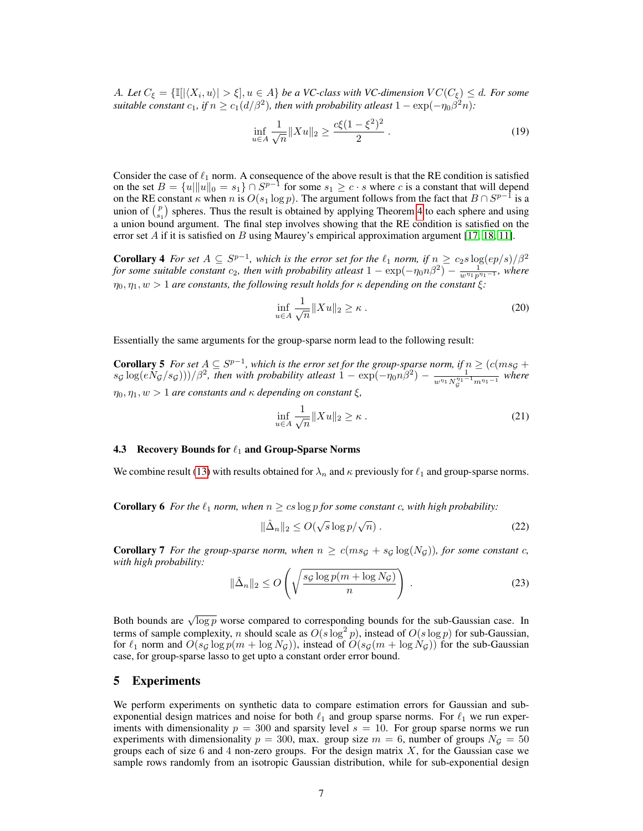A. Let  $C_{\xi} = \{\mathbb{I}[\vert \langle X_i, u \rangle \vert > \xi], u \in A\}$  *be a VC-class with VC-dimension*  $VC(C_{\xi}) \leq d$ *. For some suitable constant*  $c_1$ , if  $n \ge c_1(d/\beta^2)$ , then with probability atleast  $1 - \exp(-\eta_0 \beta^2 n)$ :

$$
\inf_{u \in A} \frac{1}{\sqrt{n}} \|Xu\|_2 \ge \frac{c\xi (1 - \xi^2)^2}{2} \,. \tag{19}
$$

Consider the case of  $\ell_1$  norm. A consequence of the above result is that the RE condition is satisfied on the set  $B = \{u \|\|u\|_0 = s_1\} \cap S^{p-1}$  for some  $s_1 \geq c \cdot s$  where c is a constant that will depend on the RE constant  $\kappa$  when n is  $O(s_1 \log p)$ . The argument follows from the fact that  $B \cap S^{p-1}$  is a union of  $\binom{p}{s_1}$  spheres. Thus the result is obtained by applying Theorem 4 to each sphere and using a union bound argument. The final step involves showing that the RE condition is satisfied on the error set A if it is satisfied on B using Maurey's empirical approximation argument [17, 18, 11].

**Corollary 4** For set  $A \subseteq S^{p-1}$ , which is the error set for the  $\ell_1$  norm, if  $n \geq c_2 s \log(ep/s)/\beta^2$ *for some suitable constant*  $c_2$ *, then with probability atleast*  $1 - \exp(-\eta_0 n \beta^2) - \frac{1}{w^{\eta_1} p^{\eta_1 - 1}}$ *, where*  $\eta_0, \eta_1, w > 1$  *are constants, the following result holds for*  $\kappa$  *depending on the constant*  $\xi$ *:* 

$$
\inf_{u \in A} \frac{1}{\sqrt{n}} \|Xu\|_2 \ge \kappa \,. \tag{20}
$$

Essentially the same arguments for the group-sparse norm lead to the following result:

**Corollary 5** For set  $A ⊆ S^{p-1}$ , which is the error set for the group-sparse norm, if  $n ≥ (c(ms<sub>G</sub> +$  $s_{\mathcal{G}}\log(eN_{\mathcal{G}}/s_{\mathcal{G}})))/\beta^2$ , then with probability atleast  $1 - \exp(-\eta_0 n \beta^2) - \frac{1}{n!n! \lambda^{1/1}}$  $\frac{1}{w^{\eta}1 N_{\mathcal{G}}^{\eta_1-1} m^{\eta_1-1}}$  where  $\eta_0, \eta_1, w > 1$  *are constants and*  $\kappa$  *depending on constant*  $\xi$ *,* 

$$
\inf_{u \in A} \frac{1}{\sqrt{n}} \|Xu\|_2 \ge \kappa \,. \tag{21}
$$

#### 4.3 Recovery Bounds for  $\ell_1$  and Group-Sparse Norms

We combine result (13) with results obtained for  $\lambda_n$  and  $\kappa$  previously for  $\ell_1$  and group-sparse norms.

**Corollary 6** *For the*  $\ell_1$  *norm, when*  $n \geq c s \log p$  *for some constant c, with high probability:* 

$$
\|\hat{\Delta}_n\|_2 \le O(\sqrt{s} \log p/\sqrt{n}).\tag{22}
$$

**Corollary 7** *For the group-sparse norm, when*  $n \geq c(msg + sg \log(Ng))$ *, for some constant c*, *with high probability:*

$$
\|\hat{\Delta}_n\|_2 \le O\left(\sqrt{\frac{sg\log p(m + \log N_g)}{n}}\right). \tag{23}
$$

Both bounds are  $\sqrt{\log p}$  worse compared to corresponding bounds for the sub-Gaussian case. In terms of sample complexity, n should scale as  $O(s \log^2 p)$ , instead of  $O(s \log p)$  for sub-Gaussian, for  $\ell_1$  norm and  $O(s_G \log p(m + \log N_G))$ , instead of  $O(s_G(m + \log N_G))$  for the sub-Gaussian case, for group-sparse lasso to get upto a constant order error bound.

## 5 Experiments

We perform experiments on synthetic data to compare estimation errors for Gaussian and subexponential design matrices and noise for both  $\ell_1$  and group sparse norms. For  $\ell_1$  we run experiments with dimensionality  $p = 300$  and sparsity level  $s = 10$ . For group sparse norms we run experiments with dimensionality  $p = 300$ , max. group size  $m = 6$ , number of groups  $N<sub>G</sub> = 50$ groups each of size  $6$  and  $4$  non-zero groups. For the design matrix  $X$ , for the Gaussian case we sample rows randomly from an isotropic Gaussian distribution, while for sub-exponential design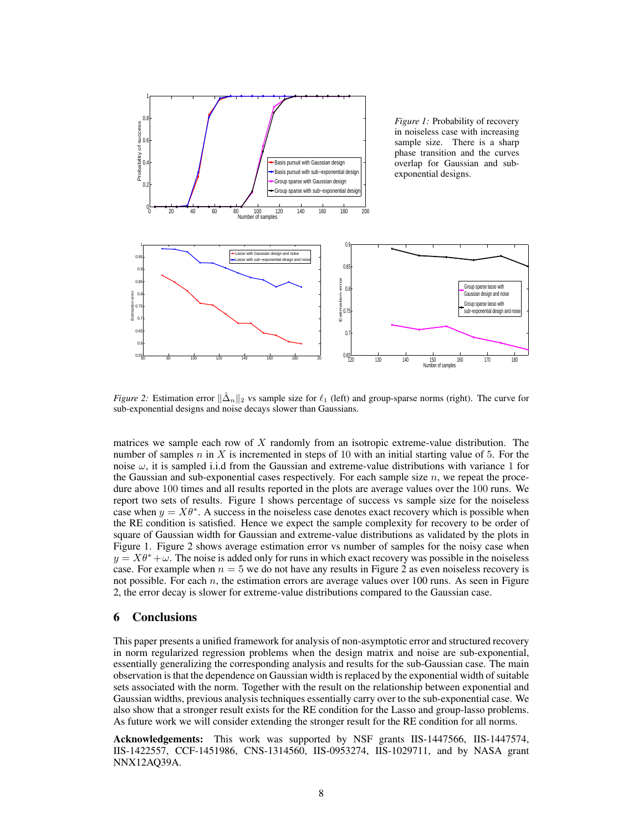

*Figure 2:* Estimation error  $\|\hat{\Delta}_n\|_2$  vs sample size for  $\ell_1$  (left) and group-sparse norms (right). The curve for sub-exponential designs and noise decays slower than Gaussians.

matrices we sample each row of  $X$  randomly from an isotropic extreme-value distribution. The number of samples n in X is incremented in steps of 10 with an initial starting value of 5. For the noise  $\omega$ , it is sampled i.i.d from the Gaussian and extreme-value distributions with variance 1 for the Gaussian and sub-exponential cases respectively. For each sample size  $n$ , we repeat the procedure above 100 times and all results reported in the plots are average values over the 100 runs. We report two sets of results. Figure 1 shows percentage of success vs sample size for the noiseless case when  $y = X\theta^*$ . A success in the noiseless case denotes exact recovery which is possible when the RE condition is satisfied. Hence we expect the sample complexity for recovery to be order of square of Gaussian width for Gaussian and extreme-value distributions as validated by the plots in Figure 1. Figure 2 shows average estimation error vs number of samples for the noisy case when  $y = X\theta^* + \omega$ . The noise is added only for runs in which exact recovery was possible in the noiseless case. For example when  $n = 5$  we do not have any results in Figure 2 as even noiseless recovery is not possible. For each  $n$ , the estimation errors are average values over 100 runs. As seen in Figure 2, the error decay is slower for extreme-value distributions compared to the Gaussian case.

# 6 Conclusions

This paper presents a unified framework for analysis of non-asymptotic error and structured recovery in norm regularized regression problems when the design matrix and noise are sub-exponential, essentially generalizing the corresponding analysis and results for the sub-Gaussian case. The main observation is that the dependence on Gaussian width is replaced by the exponential width of suitable sets associated with the norm. Together with the result on the relationship between exponential and Gaussian widths, previous analysis techniques essentially carry over to the sub-exponential case. We also show that a stronger result exists for the RE condition for the Lasso and group-lasso problems. As future work we will consider extending the stronger result for the RE condition for all norms.

Acknowledgements: This work was supported by NSF grants IIS-1447566, IIS-1447574, IIS-1422557, CCF-1451986, CNS-1314560, IIS-0953274, IIS-1029711, and by NASA grant NNX12AQ39A.